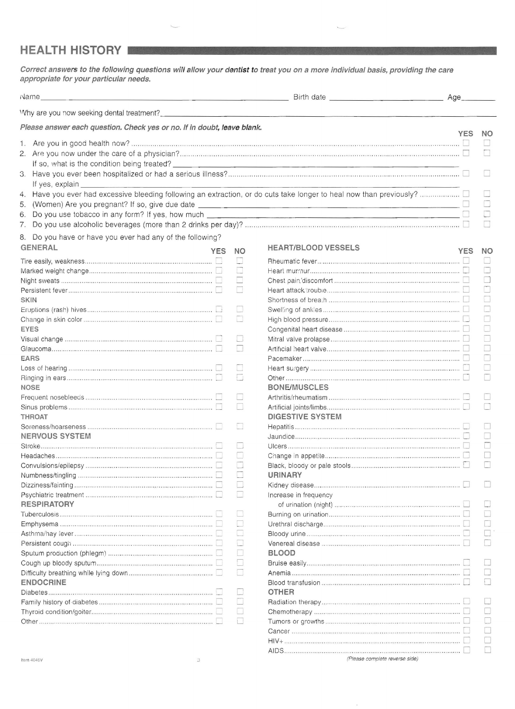## **HEALTH HISTORY**

**Correct answers to the following questions will allow your dentist to treat you on a more individual basis, providing the care appropriate for your particular needs.** 

| ivame                                                                   |            |           | <u>Districts and the contract of the contract of the contract of the contract of the contract of the contract of the contract of the contract of the contract of the contract of the contract of the contract of the contract of</u> |            |           |
|-------------------------------------------------------------------------|------------|-----------|--------------------------------------------------------------------------------------------------------------------------------------------------------------------------------------------------------------------------------------|------------|-----------|
|                                                                         |            |           |                                                                                                                                                                                                                                      |            |           |
| Please answer each question. Check yes or no. If in doubt, leave blank. |            |           |                                                                                                                                                                                                                                      | <b>YES</b> | <b>NO</b> |
|                                                                         |            |           |                                                                                                                                                                                                                                      |            |           |
|                                                                         |            |           |                                                                                                                                                                                                                                      |            |           |
|                                                                         |            |           |                                                                                                                                                                                                                                      |            |           |
|                                                                         |            |           |                                                                                                                                                                                                                                      |            |           |
| If yes, explain                                                         |            |           |                                                                                                                                                                                                                                      |            |           |
|                                                                         |            |           |                                                                                                                                                                                                                                      |            |           |
|                                                                         |            |           |                                                                                                                                                                                                                                      |            |           |
| 5.                                                                      |            |           |                                                                                                                                                                                                                                      |            |           |
| 6.                                                                      |            |           |                                                                                                                                                                                                                                      |            |           |
| 7.                                                                      |            |           |                                                                                                                                                                                                                                      |            |           |
| Do you have or have you ever had any of the following?<br>8.            |            |           |                                                                                                                                                                                                                                      |            |           |
| <b>GENERAL</b>                                                          | <b>YES</b> | <b>NO</b> | <b>HEART/BLOOD VESSELS</b>                                                                                                                                                                                                           | <b>YES</b> | NO.       |
|                                                                         |            | $\Box$    |                                                                                                                                                                                                                                      |            |           |
|                                                                         |            | $\Box$    |                                                                                                                                                                                                                                      |            |           |
|                                                                         |            | $\Box$    |                                                                                                                                                                                                                                      |            | H         |
|                                                                         |            | $\Box$    |                                                                                                                                                                                                                                      |            |           |
| <b>SKIN</b>                                                             |            |           |                                                                                                                                                                                                                                      |            |           |
|                                                                         |            | $\Box$    |                                                                                                                                                                                                                                      |            |           |
|                                                                         |            | $\Box$    |                                                                                                                                                                                                                                      |            |           |
| <b>EYES</b>                                                             |            |           |                                                                                                                                                                                                                                      |            |           |
|                                                                         |            | IJ        |                                                                                                                                                                                                                                      |            |           |
|                                                                         |            | $\Box$    |                                                                                                                                                                                                                                      |            |           |
| EARS                                                                    |            |           |                                                                                                                                                                                                                                      |            |           |
|                                                                         |            | $\Box$    |                                                                                                                                                                                                                                      |            |           |
|                                                                         |            | $\Box$    |                                                                                                                                                                                                                                      |            |           |
| <b>NOSE</b>                                                             |            |           | <b>BONE/MUSCLES</b>                                                                                                                                                                                                                  |            |           |
|                                                                         |            | D.        |                                                                                                                                                                                                                                      |            |           |
|                                                                         |            | $\Box$    |                                                                                                                                                                                                                                      |            | $\Box$    |
| <b>THROAT</b>                                                           |            |           | <b>DIGESTIVE SYSTEM</b>                                                                                                                                                                                                              |            |           |
|                                                                         |            | IJ        |                                                                                                                                                                                                                                      |            |           |
| <b>NERVOUS SYSTEM</b>                                                   |            |           |                                                                                                                                                                                                                                      |            |           |
|                                                                         |            |           |                                                                                                                                                                                                                                      |            | n         |
|                                                                         |            |           |                                                                                                                                                                                                                                      |            | $\Box$    |
|                                                                         |            |           |                                                                                                                                                                                                                                      |            |           |
|                                                                         |            |           | URINARY                                                                                                                                                                                                                              |            |           |
|                                                                         |            | O         |                                                                                                                                                                                                                                      |            |           |
|                                                                         |            | E.        | Increase in frequency                                                                                                                                                                                                                |            |           |
| <b>RESPIRATORY</b>                                                      |            |           |                                                                                                                                                                                                                                      |            |           |
|                                                                         |            |           |                                                                                                                                                                                                                                      |            |           |
|                                                                         |            |           |                                                                                                                                                                                                                                      |            | Π         |
|                                                                         |            | $\Box$    |                                                                                                                                                                                                                                      |            | $\Box$    |
|                                                                         |            | $\Box$    |                                                                                                                                                                                                                                      |            |           |
|                                                                         |            | $\Box$    | <b>BLOOD</b>                                                                                                                                                                                                                         |            |           |
|                                                                         |            | $\Box$    |                                                                                                                                                                                                                                      |            |           |
|                                                                         |            | $\Box$    |                                                                                                                                                                                                                                      |            |           |
| <b>ENDOCRINE</b>                                                        |            |           |                                                                                                                                                                                                                                      |            | П         |
|                                                                         |            |           | <b>OTHER</b>                                                                                                                                                                                                                         |            |           |
|                                                                         |            | $\Box$    |                                                                                                                                                                                                                                      |            |           |
|                                                                         |            | $\Box$    |                                                                                                                                                                                                                                      |            |           |
|                                                                         |            | Ξ         |                                                                                                                                                                                                                                      |            |           |
|                                                                         |            |           |                                                                                                                                                                                                                                      |            |           |

HIV+ .... 0 o AIDS ...... 0 Ll